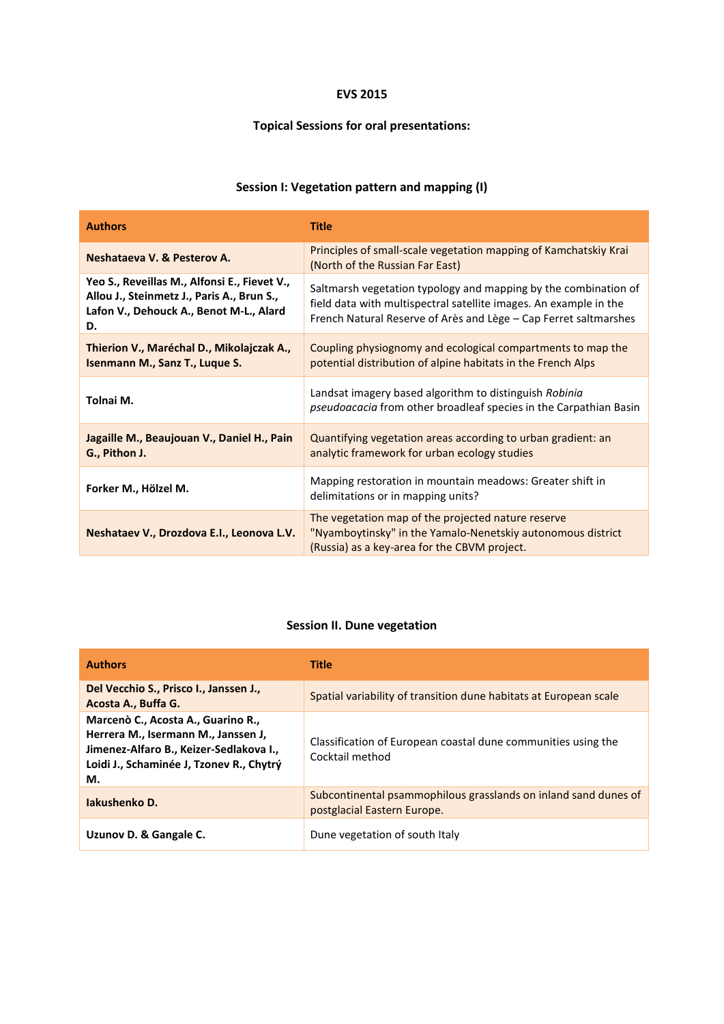#### **EVS 2015**

#### **Topical Sessions for oral presentations:**

## **Session I: Vegetation pattern and mapping (I)**

| <b>Authors</b>                                                                                                                              | <b>Title</b>                                                                                                                                                                                             |
|---------------------------------------------------------------------------------------------------------------------------------------------|----------------------------------------------------------------------------------------------------------------------------------------------------------------------------------------------------------|
| Neshataeva V. & Pesterov A.                                                                                                                 | Principles of small-scale vegetation mapping of Kamchatskiy Krai<br>(North of the Russian Far East)                                                                                                      |
| Yeo S., Reveillas M., Alfonsi E., Fievet V.,<br>Allou J., Steinmetz J., Paris A., Brun S.,<br>Lafon V., Dehouck A., Benot M-L., Alard<br>D. | Saltmarsh vegetation typology and mapping by the combination of<br>field data with multispectral satellite images. An example in the<br>French Natural Reserve of Arès and Lège – Cap Ferret saltmarshes |
| Thierion V., Maréchal D., Mikolajczak A.,<br>Isenmann M., Sanz T., Luque S.                                                                 | Coupling physiognomy and ecological compartments to map the<br>potential distribution of alpine habitats in the French Alps                                                                              |
| Tolnai M.                                                                                                                                   | Landsat imagery based algorithm to distinguish Robinia<br><i>pseudoacacia</i> from other broadleaf species in the Carpathian Basin                                                                       |
| Jagaille M., Beaujouan V., Daniel H., Pain<br>G., Pithon J.                                                                                 | Quantifying vegetation areas according to urban gradient: an<br>analytic framework for urban ecology studies                                                                                             |
| Forker M., Hölzel M.                                                                                                                        | Mapping restoration in mountain meadows: Greater shift in<br>delimitations or in mapping units?                                                                                                          |
| Neshataev V., Drozdova E.I., Leonova L.V.                                                                                                   | The vegetation map of the projected nature reserve<br>"Nyamboytinsky" in the Yamalo-Nenetskiy autonomous district<br>(Russia) as a key-area for the CBVM project.                                        |

#### **Session II. Dune vegetation**

| <b>Authors</b>                                                                                                                                                         | <b>Title</b>                                                                                   |
|------------------------------------------------------------------------------------------------------------------------------------------------------------------------|------------------------------------------------------------------------------------------------|
| Del Vecchio S., Prisco I., Janssen J.,<br>Acosta A., Buffa G.                                                                                                          | Spatial variability of transition dune habitats at European scale                              |
| Marcenò C., Acosta A., Guarino R.,<br>Herrera M., Isermann M., Janssen J,<br>Jimenez-Alfaro B., Keizer-Sedlakova I.,<br>Loidi J., Schaminée J, Tzonev R., Chytrý<br>М. | Classification of European coastal dune communities using the<br>Cocktail method               |
| Jakushenko D.                                                                                                                                                          | Subcontinental psammophilous grasslands on inland sand dunes of<br>postglacial Eastern Europe. |
| Uzunov D. & Gangale C.                                                                                                                                                 | Dune vegetation of south Italy                                                                 |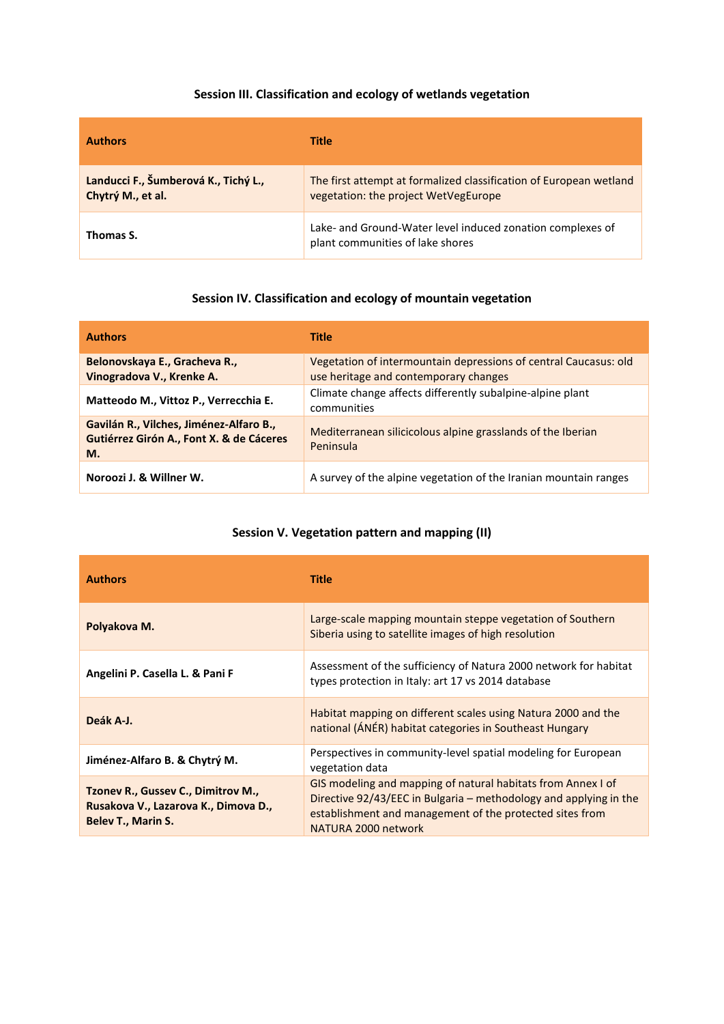## **Session III. Classification and ecology of wetlands vegetation**

| <b>Authors</b>                                            | Title                                                                                                      |
|-----------------------------------------------------------|------------------------------------------------------------------------------------------------------------|
| Landucci F., Šumberová K., Tichý L.,<br>Chytrý M., et al. | The first attempt at formalized classification of European wetland<br>vegetation: the project WetVegEurope |
| Thomas S.                                                 | Lake- and Ground-Water level induced zonation complexes of<br>plant communities of lake shores             |

#### **Session IV. Classification and ecology of mountain vegetation**

| <b>Authors</b>                                                                            | <b>Title</b>                                                                                              |
|-------------------------------------------------------------------------------------------|-----------------------------------------------------------------------------------------------------------|
| Belonovskaya E., Gracheva R.,<br>Vinogradova V., Krenke A.                                | Vegetation of intermountain depressions of central Caucasus: old<br>use heritage and contemporary changes |
| Matteodo M., Vittoz P., Verrecchia E.                                                     | Climate change affects differently subalpine-alpine plant<br>communities                                  |
| Gavilán R., Vilches, Jiménez-Alfaro B.,<br>Gutiérrez Girón A., Font X. & de Cáceres<br>M. | Mediterranean silicicolous alpine grasslands of the Iberian<br>Peninsula                                  |
| Noroozi J. & Willner W.                                                                   | A survey of the alpine vegetation of the Iranian mountain ranges                                          |

## **Session V. Vegetation pattern and mapping (II)**

| <b>Authors</b>                                                                                          | <b>Title</b>                                                                                                                                                                                                         |
|---------------------------------------------------------------------------------------------------------|----------------------------------------------------------------------------------------------------------------------------------------------------------------------------------------------------------------------|
| Polyakova M.                                                                                            | Large-scale mapping mountain steppe vegetation of Southern<br>Siberia using to satellite images of high resolution                                                                                                   |
| Angelini P. Casella L. & Pani F                                                                         | Assessment of the sufficiency of Natura 2000 network for habitat<br>types protection in Italy: art 17 vs 2014 database                                                                                               |
| Deák A-J.                                                                                               | Habitat mapping on different scales using Natura 2000 and the<br>national (ÁNÉR) habitat categories in Southeast Hungary                                                                                             |
| Jiménez-Alfaro B. & Chytrý M.                                                                           | Perspectives in community-level spatial modeling for European<br>vegetation data                                                                                                                                     |
| Tzonev R., Gussev C., Dimitrov M.,<br>Rusakova V., Lazarova K., Dimova D.,<br><b>Belev T., Marin S.</b> | GIS modeling and mapping of natural habitats from Annex I of<br>Directive 92/43/EEC in Bulgaria – methodology and applying in the<br>establishment and management of the protected sites from<br>NATURA 2000 network |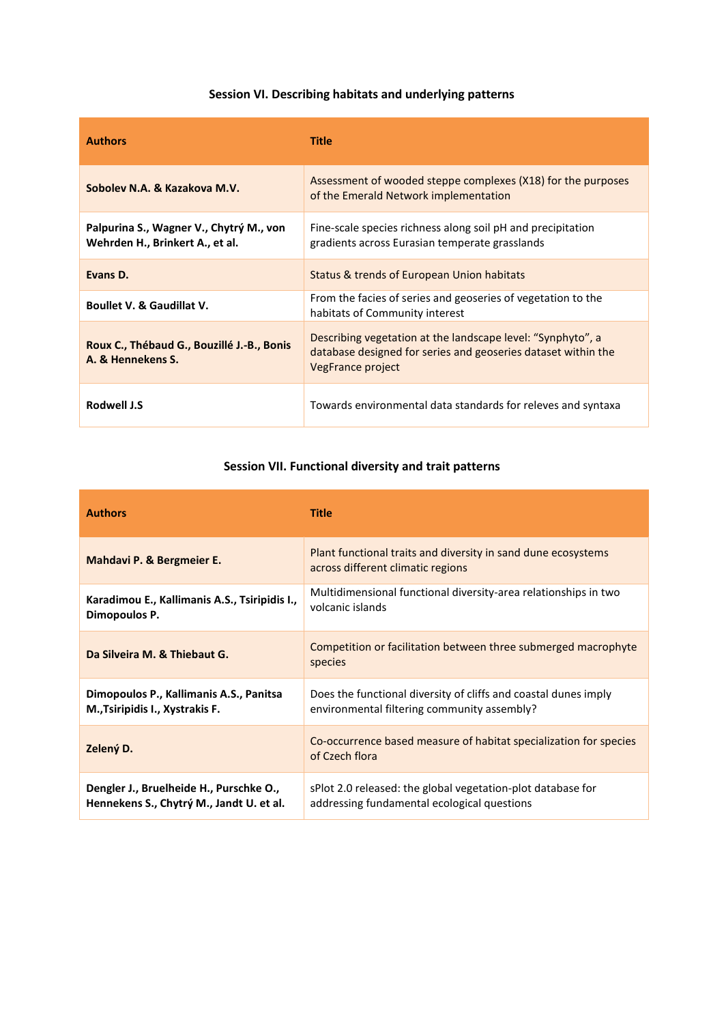# **Session VI. Describing habitats and underlying patterns**

| <b>Authors</b>                                                             | Title                                                                                                                                             |
|----------------------------------------------------------------------------|---------------------------------------------------------------------------------------------------------------------------------------------------|
| Sobolev N.A. & Kazakova M.V.                                               | Assessment of wooded steppe complexes (X18) for the purposes<br>of the Emerald Network implementation                                             |
| Palpurina S., Wagner V., Chytrý M., von<br>Wehrden H., Brinkert A., et al. | Fine-scale species richness along soil pH and precipitation<br>gradients across Eurasian temperate grasslands                                     |
| Evans D.                                                                   | Status & trends of European Union habitats                                                                                                        |
| <b>Boullet V. &amp; Gaudillat V.</b>                                       | From the facies of series and geoseries of vegetation to the<br>habitats of Community interest                                                    |
| Roux C., Thébaud G., Bouzillé J.-B., Bonis<br>A. & Hennekens S.            | Describing vegetation at the landscape level: "Synphyto", a<br>database designed for series and geoseries dataset within the<br>VegFrance project |
| <b>Rodwell J.S</b>                                                         | Towards environmental data standards for releves and syntaxa                                                                                      |

# **Session VII. Functional diversity and trait patterns**

| <b>Authors</b>                                                                      | <b>Title</b>                                                                                                   |
|-------------------------------------------------------------------------------------|----------------------------------------------------------------------------------------------------------------|
| Mahdavi P. & Bergmeier E.                                                           | Plant functional traits and diversity in sand dune ecosystems<br>across different climatic regions             |
| Karadimou E., Kallimanis A.S., Tsiripidis I.,<br>Dimopoulos P.                      | Multidimensional functional diversity-area relationships in two<br>volcanic islands                            |
| Da Silveira M. & Thiebaut G.                                                        | Competition or facilitation between three submerged macrophyte<br>species                                      |
| Dimopoulos P., Kallimanis A.S., Panitsa<br>M., Tsiripidis I., Xystrakis F.          | Does the functional diversity of cliffs and coastal dunes imply<br>environmental filtering community assembly? |
| Zelený D.                                                                           | Co-occurrence based measure of habitat specialization for species<br>of Czech flora                            |
| Dengler J., Bruelheide H., Purschke O.,<br>Hennekens S., Chytrý M., Jandt U. et al. | sPlot 2.0 released: the global vegetation-plot database for<br>addressing fundamental ecological questions     |